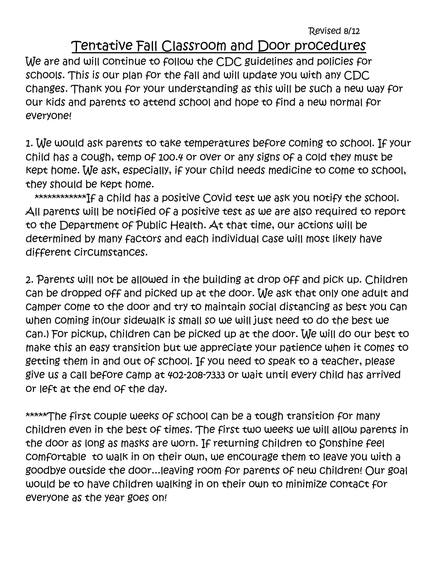Revised 8/12

## Tentative Fall Classroom and Door procedures

We are and will continue to follow the CDC guidelines and policies for schools. This is our plan for the fall and will update you with any CDC changes. Thank you for your understanding as this will be such a new way for our kids and parents to attend school and hope to find a new normal for everyone!

1. We would ask parents to take temperatures before coming to school. If your child has a cough, temp of 100.4 or over or any signs of a cold they must be kept home. We ask, especially, if your child needs medicine to come to school, they should be kept home.

\*\*\*\*\*\*\*\*\*\*\*\*If a child has a positive Covid test we ask you notify the school. All parents will be notified of a positive test as we are also required to report to the Department of Public Health. At that time, our actions will be determined by many factors and each individual case will most likely have different circumstances.

2. Parents will not be allowed in the building at drop off and pick up. Children can be dropped off and picked up at the door. We ask that only one adult and camper come to the door and try to maintain social distancing as best you can when coming in(our sidewalk is small so we will just need to do the best we can.) For pickup, children can be picked up at the door. We will do our best to make this an easy transition but we appreciate your patience when it comes to getting them in and out of school. If you need to speak to a teacher, please give us a call before camp at 402-208-7333 or wait until every child has arrived or left at the end of the day.

\*\*\*\*\*The first couple weeks of school can be a tough transition for many children even in the best of times. The first two weeks we will allow parents in the door as long as masks are worn. If returning children to Sonshine feel comfortable to walk in on their own, we encourage them to leave you with a goodbye outside the door...leaving room for parents of new children! Our goal would be to have children walking in on their own to minimize contact for everyone as the year goes on!